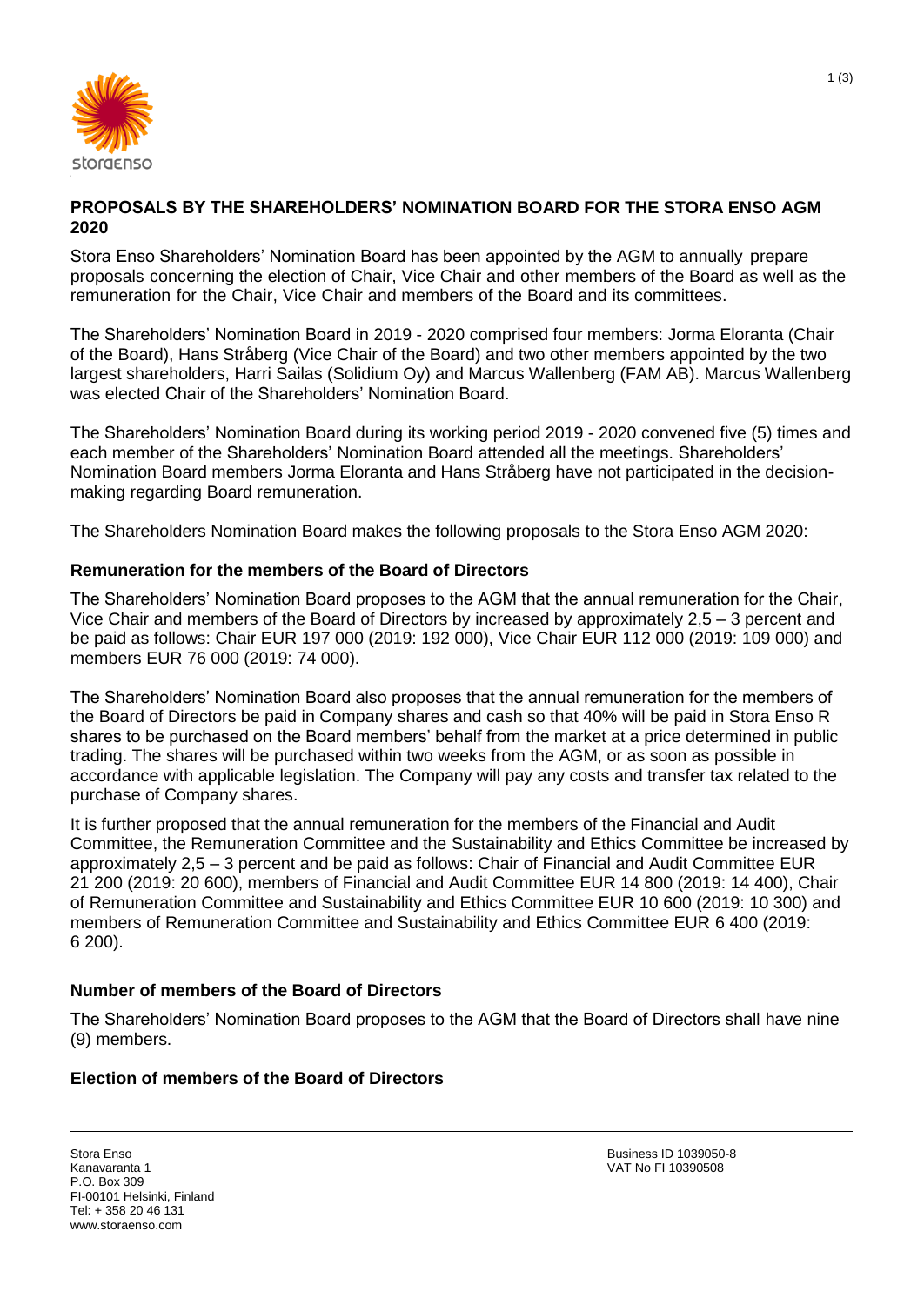

## **PROPOSALS BY THE SHAREHOLDERS' NOMINATION BOARD FOR THE STORA ENSO AGM 2020**

Stora Enso Shareholders' Nomination Board has been appointed by the AGM to annually prepare proposals concerning the election of Chair, Vice Chair and other members of the Board as well as the remuneration for the Chair, Vice Chair and members of the Board and its committees.

The Shareholders' Nomination Board in 2019 - 2020 comprised four members: Jorma Eloranta (Chair of the Board), Hans Stråberg (Vice Chair of the Board) and two other members appointed by the two largest shareholders, Harri Sailas (Solidium Oy) and Marcus Wallenberg (FAM AB). Marcus Wallenberg was elected Chair of the Shareholders' Nomination Board.

The Shareholders' Nomination Board during its working period 2019 - 2020 convened five (5) times and each member of the Shareholders' Nomination Board attended all the meetings. Shareholders' Nomination Board members Jorma Eloranta and Hans Stråberg have not participated in the decisionmaking regarding Board remuneration.

The Shareholders Nomination Board makes the following proposals to the Stora Enso AGM 2020:

## **Remuneration for the members of the Board of Directors**

The Shareholders' Nomination Board proposes to the AGM that the annual remuneration for the Chair, Vice Chair and members of the Board of Directors by increased by approximately 2,5 – 3 percent and be paid as follows: Chair EUR 197 000 (2019: 192 000), Vice Chair EUR 112 000 (2019: 109 000) and members EUR 76 000 (2019: 74 000).

The Shareholders' Nomination Board also proposes that the annual remuneration for the members of the Board of Directors be paid in Company shares and cash so that 40% will be paid in Stora Enso R shares to be purchased on the Board members' behalf from the market at a price determined in public trading. The shares will be purchased within two weeks from the AGM, or as soon as possible in accordance with applicable legislation. The Company will pay any costs and transfer tax related to the purchase of Company shares.

It is further proposed that the annual remuneration for the members of the Financial and Audit Committee, the Remuneration Committee and the Sustainability and Ethics Committee be increased by approximately 2,5 – 3 percent and be paid as follows: Chair of Financial and Audit Committee EUR 21 200 (2019: 20 600), members of Financial and Audit Committee EUR 14 800 (2019: 14 400), Chair of Remuneration Committee and Sustainability and Ethics Committee EUR 10 600 (2019: 10 300) and members of Remuneration Committee and Sustainability and Ethics Committee EUR 6 400 (2019: 6 200).

## **Number of members of the Board of Directors**

The Shareholders' Nomination Board proposes to the AGM that the Board of Directors shall have nine (9) members.

## **Election of members of the Board of Directors**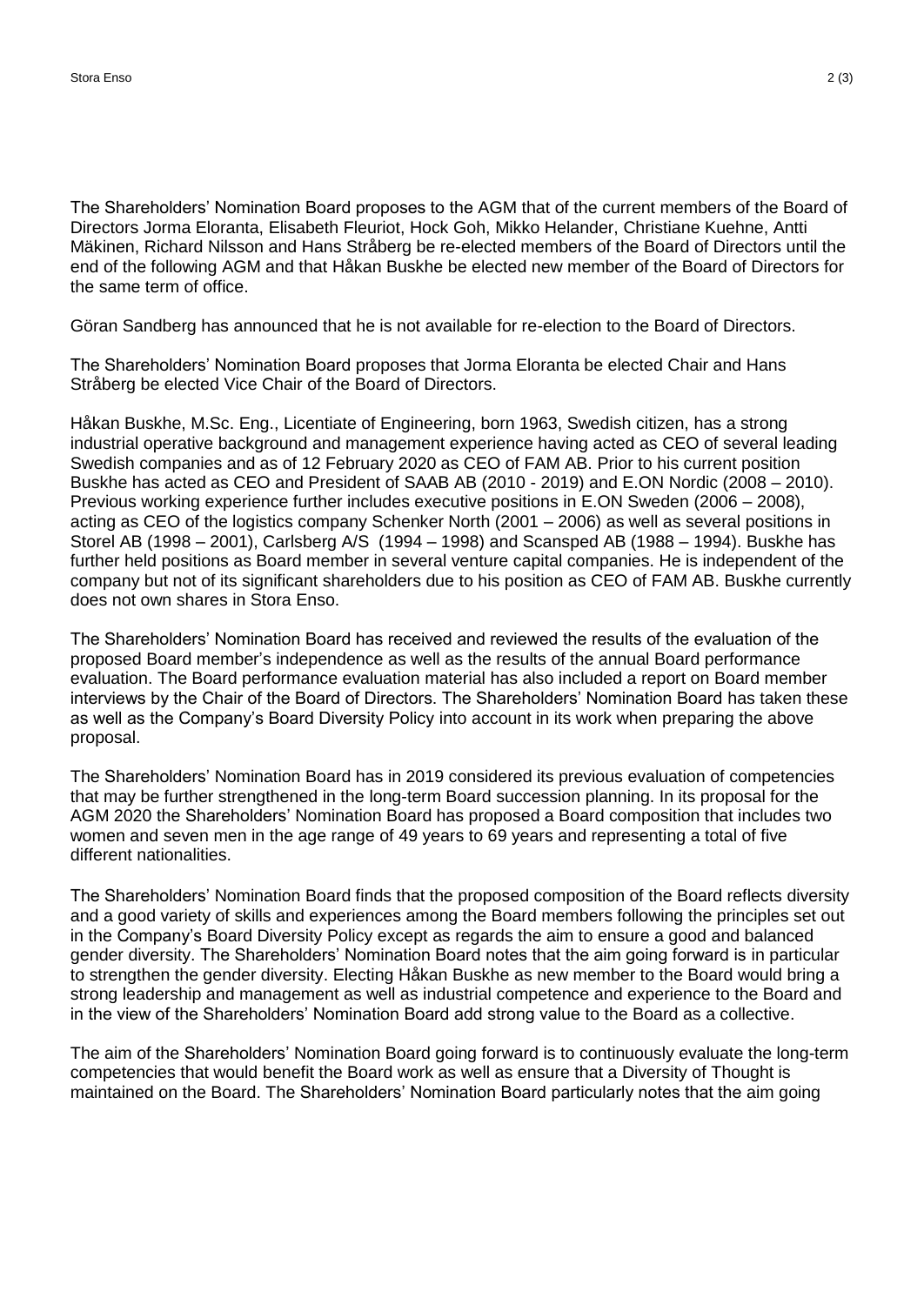The Shareholders' Nomination Board proposes to the AGM that of the current members of the Board of Directors Jorma Eloranta, Elisabeth Fleuriot, Hock Goh, Mikko Helander, Christiane Kuehne, Antti Mäkinen, Richard Nilsson and Hans Stråberg be re-elected members of the Board of Directors until the end of the following AGM and that Håkan Buskhe be elected new member of the Board of Directors for the same term of office.

Göran Sandberg has announced that he is not available for re-election to the Board of Directors.

The Shareholders' Nomination Board proposes that Jorma Eloranta be elected Chair and Hans Stråberg be elected Vice Chair of the Board of Directors.

Håkan Buskhe, M.Sc. Eng., Licentiate of Engineering, born 1963, Swedish citizen, has a strong industrial operative background and management experience having acted as CEO of several leading Swedish companies and as of 12 February 2020 as CEO of FAM AB. Prior to his current position Buskhe has acted as CEO and President of SAAB AB (2010 - 2019) and E.ON Nordic (2008 – 2010). Previous working experience further includes executive positions in E.ON Sweden (2006 – 2008), acting as CEO of the logistics company Schenker North (2001 – 2006) as well as several positions in Storel AB (1998 – 2001), Carlsberg A/S (1994 – 1998) and Scansped AB (1988 – 1994). Buskhe has further held positions as Board member in several venture capital companies. He is independent of the company but not of its significant shareholders due to his position as CEO of FAM AB. Buskhe currently does not own shares in Stora Enso.

The Shareholders' Nomination Board has received and reviewed the results of the evaluation of the proposed Board member's independence as well as the results of the annual Board performance evaluation. The Board performance evaluation material has also included a report on Board member interviews by the Chair of the Board of Directors. The Shareholders' Nomination Board has taken these as well as the Company's Board Diversity Policy into account in its work when preparing the above proposal.

The Shareholders' Nomination Board has in 2019 considered its previous evaluation of competencies that may be further strengthened in the long-term Board succession planning. In its proposal for the AGM 2020 the Shareholders' Nomination Board has proposed a Board composition that includes two women and seven men in the age range of 49 years to 69 years and representing a total of five different nationalities.

The Shareholders' Nomination Board finds that the proposed composition of the Board reflects diversity and a good variety of skills and experiences among the Board members following the principles set out in the Company's Board Diversity Policy except as regards the aim to ensure a good and balanced gender diversity. The Shareholders' Nomination Board notes that the aim going forward is in particular to strengthen the gender diversity. Electing Håkan Buskhe as new member to the Board would bring a strong leadership and management as well as industrial competence and experience to the Board and in the view of the Shareholders' Nomination Board add strong value to the Board as a collective.

The aim of the Shareholders' Nomination Board going forward is to continuously evaluate the long-term competencies that would benefit the Board work as well as ensure that a Diversity of Thought is maintained on the Board. The Shareholders' Nomination Board particularly notes that the aim going